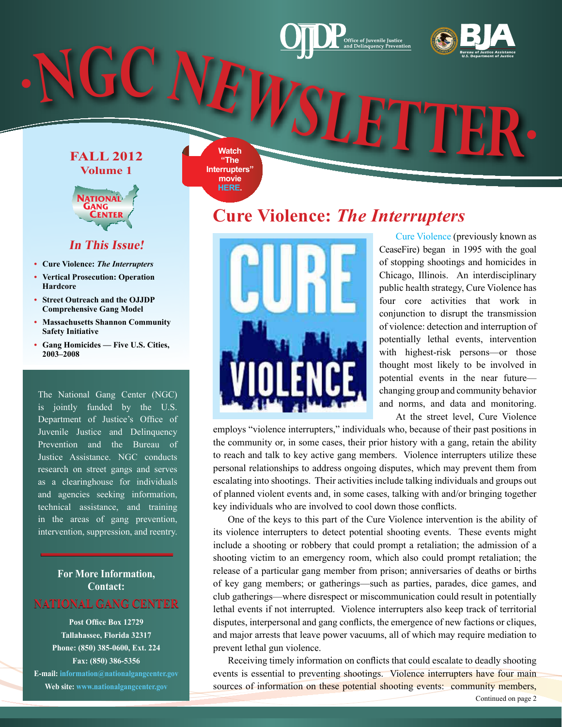# **[Bureau of Justice Assistance](https://www.bja.gov/) U.S. Department of Justice <sup>N</sup>G<sup>C</sup> <sup>N</sup>EWSLETTE<sup>R</sup>**

**FALL 2012**

**Watch "The Interrupters" movie [HERE.](http://www.pbs.org/wgbh/pages/frontline/interrupters/)** 



**Volume 1**

#### **In This Issue!**

- **• Cure Violence:** *The Interrupters*
- **• Vertical Prosecution: Operation Hardcore**
- **• Street Outreach and the OJJDP Comprehensive Gang Model**
- **• Massachusetts Shannon Community Safety Initiative**
- **• Gang Homicides Five U.S. Cities, 2003–2008**

The National Gang Center (NGC) is jointly funded by the U.S. Department of Justice's Office of Juvenile Justice and Delinquency Prevention and the Bureau of Justice Assistance. NGC conducts research on street gangs and serves as a clearinghouse for individuals and agencies seeking information, technical assistance, and training in the areas of gang prevention, intervention, suppression, and reentry.

#### **For More Information, Contact: NATIONAL GANG CENTER**

**Post Office Box 12729 Tallahassee, Florida 32317 Phone: (850) 385-0600, Ext. 224 Fax: (850) 386-5356 E-mail: [information@nationalgangcenter.gov](mailto:information@nationalgangcenter.gov) Web site: [www.nationalgangcenter.gov](http://www.nationalgangcenter.gov)**

**Cure Violence:** *The Interrupters*



 [Cure Violence](http://cureviolence.org/) (previously known as CeaseFire) began in 1995 with the goal of stopping shootings and homicides in Chicago, Illinois. An interdisciplinary public health strategy, Cure Violence has four core activities that work in conjunction to disrupt the transmission of violence: detection and interruption of potentially lethal events, intervention with highest-risk persons—or those thought most likely to be involved in potential events in the near future changing group and community behavior and norms, and data and monitoring. At the street level, Cure Violence

employs "violence interrupters," individuals who, because of their past positions in the community or, in some cases, their prior history with a gang, retain the ability to reach and talk to key active gang members. Violence interrupters utilize these personal relationships to address ongoing disputes, which may prevent them from escalating into shootings. Their activities include talking individuals and groups out of planned violent events and, in some cases, talking with and/or bringing together key individuals who are involved to cool down those conflicts.

One of the keys to this part of the Cure Violence intervention is the ability of its violence interrupters to detect potential shooting events. These events might include a shooting or robbery that could prompt a retaliation; the admission of a shooting victim to an emergency room, which also could prompt retaliation; the release of a particular gang member from prison; anniversaries of deaths or births of key gang members; or gatherings—such as parties, parades, dice games, and club gatherings—where disrespect or miscommunication could result in potentially lethal events if not interrupted. Violence interrupters also keep track of territorial disputes, interpersonal and gang conflicts, the emergence of new factions or cliques, and major arrests that leave power vacuums, all of which may require mediation to prevent lethal gun violence.

Receiving timely information on conflicts that could escalate to deadly shooting events is essential to preventing shootings. Violence interrupters have four main sources of information on these potential shooting events: community members,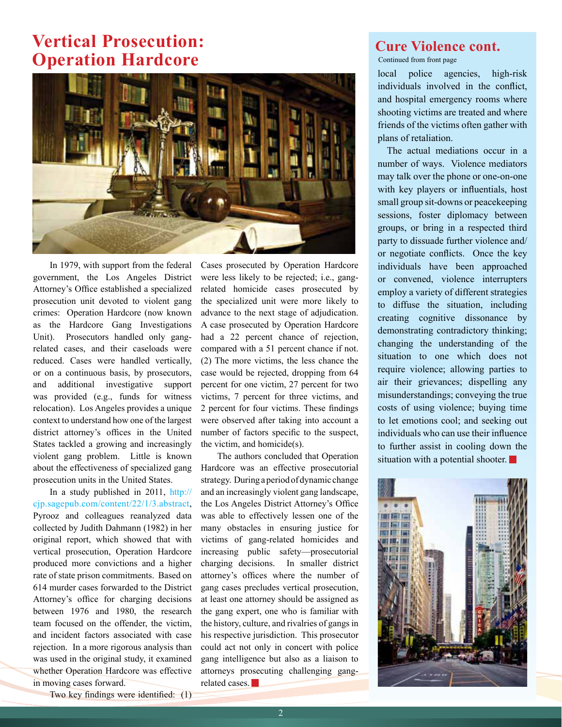#### **Vertical Prosecution: Operation Hardcore**



In 1979, with support from the federal government, the Los Angeles District Attorney's Office established a specialized prosecution unit devoted to violent gang crimes: Operation Hardcore (now known as the Hardcore Gang Investigations Unit). Prosecutors handled only gangrelated cases, and their caseloads were reduced. Cases were handled vertically, or on a continuous basis, by prosecutors, and additional investigative support was provided (e.g., funds for witness relocation). Los Angeles provides a unique context to understand how one of the largest district attorney's offices in the United States tackled a growing and increasingly violent gang problem. Little is known about the effectiveness of specialized gang prosecution units in the United States.

In a study published in 2011, [http://](http://cjp.sagepub.com/content/22/1/3.abstract) [cjp.sagepub.com/content/22/1/3.abstract,](http://cjp.sagepub.com/content/22/1/3.abstract)  Pyrooz and colleagues reanalyzed data collected by Judith Dahmann (1982) in her original report, which showed that with vertical prosecution, Operation Hardcore produced more convictions and a higher rate of state prison commitments. Based on 614 murder cases forwarded to the District Attorney's office for charging decisions between 1976 and 1980, the research team focused on the offender, the victim, and incident factors associated with case rejection. In a more rigorous analysis than was used in the original study, it examined whether Operation Hardcore was effective in moving cases forward.

Cases prosecuted by Operation Hardcore were less likely to be rejected; i.e., gangrelated homicide cases prosecuted by the specialized unit were more likely to advance to the next stage of adjudication. A case prosecuted by Operation Hardcore had a 22 percent chance of rejection, compared with a 51 percent chance if not. (2) The more victims, the less chance the case would be rejected, dropping from 64 percent for one victim, 27 percent for two victims, 7 percent for three victims, and 2 percent for four victims. These findings were observed after taking into account a number of factors specific to the suspect, the victim, and homicide(s).

The authors concluded that Operation Hardcore was an effective prosecutorial strategy. During a period of dynamic change and an increasingly violent gang landscape, the Los Angeles District Attorney's Office was able to effectively lessen one of the many obstacles in ensuring justice for victims of gang-related homicides and increasing public safety—prosecutorial charging decisions. In smaller district attorney's offices where the number of gang cases precludes vertical prosecution, at least one attorney should be assigned as the gang expert, one who is familiar with the history, culture, and rivalries of gangs in his respective jurisdiction. This prosecutor could act not only in concert with police gang intelligence but also as a liaison to attorneys prosecuting challenging gangrelated cases.

#### **Cure Violence cont.**

Continued from front page

local police agencies, high-risk individuals involved in the conflict, and hospital emergency rooms where shooting victims are treated and where friends of the victims often gather with plans of retaliation.

The actual mediations occur in a number of ways. Violence mediators may talk over the phone or one-on-one with key players or influentials, host small group sit-downs or peacekeeping sessions, foster diplomacy between groups, or bring in a respected third party to dissuade further violence and/ or negotiate conflicts. Once the key individuals have been approached or convened, violence interrupters employ a variety of different strategies to diffuse the situation, including creating cognitive dissonance by demonstrating contradictory thinking; changing the understanding of the situation to one which does not require violence; allowing parties to air their grievances; dispelling any misunderstandings; conveying the true costs of using violence; buying time to let emotions cool; and seeking out individuals who can use their influence to further assist in cooling down the situation with a potential shooter.



Two key findings were identified: (1)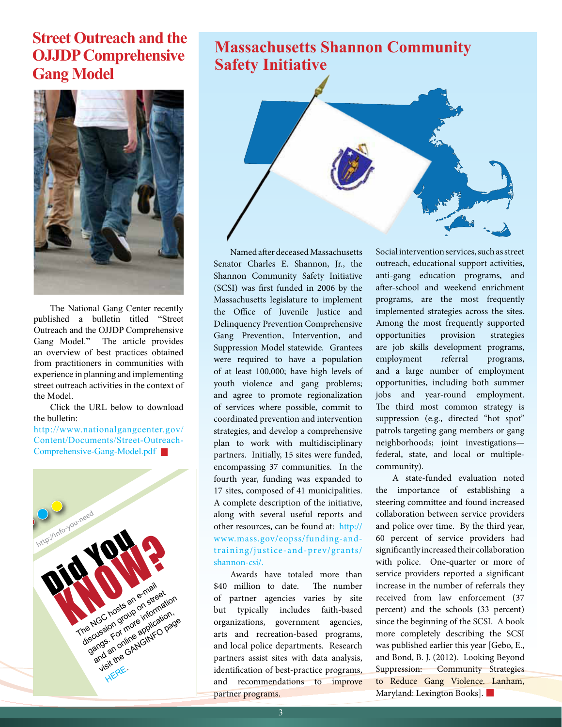#### **Street Outreach and the OJJDP Comprehensive Gang Model**



The National Gang Center recently published a bulletin titled "Street Outreach and the OJJDP Comprehensive Gang Model." The article provides an overview of best practices obtained from practitioners in communities with experience in planning and implementing street outreach activities in the context of the Model.

Click the URL below to download the bulletin:

http://www.nationalgangcenter.gov/ [Content/Documents/Street-Outreach-](http://www.nationalgangcenter.gov/Content/Documents/Street-Outreach-Comprehensive-Gang-Model.pdf)Comprehensive-Gang-Model.pdf



### **Massachusetts Shannon Community Safety Initiative**



Named after deceased Massachusetts Senator Charles E. Shannon, Jr., the Shannon Community Safety Initiative (SCSI) was first funded in 2006 by the Massachusetts legislature to implement the Office of Juvenile Justice and Delinquency Prevention Comprehensive Gang Prevention, Intervention, and Suppression Model statewide. Grantees were required to have a population of at least 100,000; have high levels of youth violence and gang problems; and agree to promote regionalization of services where possible, commit to coordinated prevention and intervention strategies, and develop a comprehensive plan to work with multidisciplinary partners. Initially, 15 sites were funded, encompassing 37 communities. In the fourth year, funding was expanded to 17 sites, composed of 41 municipalities. A complete description of the initiative, along with several useful reports and other resources, can be found at: http:// [www.mass.gov/eopss/funding-and](http://www.mass.gov/eopss/funding-and-training/justice-and-prev/grants/shannon-csi/)training/justice-and-prev/grants/ shannon-csi/.

Awards have totaled more than \$40 million to date. The number of partner agencies varies by site but typically includes faith-based organizations, government agencies, arts and recreation-based programs, and local police departments. Research partners assist sites with data analysis, identification of best-practice programs, and recommendations to improve partner programs.

Social intervention services, such as street outreach, educational support activities, anti-gang education programs, and after-school and weekend enrichment programs, are the most frequently implemented strategies across the sites. Among the most frequently supported opportunities provision strategies are job skills development programs, employment referral programs, and a large number of employment opportunities, including both summer jobs and year-round employment. The third most common strategy is suppression (e.g., directed "hot spot" patrols targeting gang members or gang neighborhoods; joint investigations federal, state, and local or multiplecommunity).

A state-funded evaluation noted the importance of establishing a steering committee and found increased collaboration between service providers and police over time. By the third year, 60 percent of service providers had significantly increased their collaboration with police. One-quarter or more of service providers reported a significant increase in the number of referrals they received from law enforcement (37 percent) and the schools (33 percent) since the beginning of the SCSI. A book more completely describing the SCSI was published earlier this year [Gebo, E., and Bond, B. J. (2012). Looking Beyond Suppression: Community Strategies to Reduce Gang Violence. Lanham, Maryland: Lexington Books].